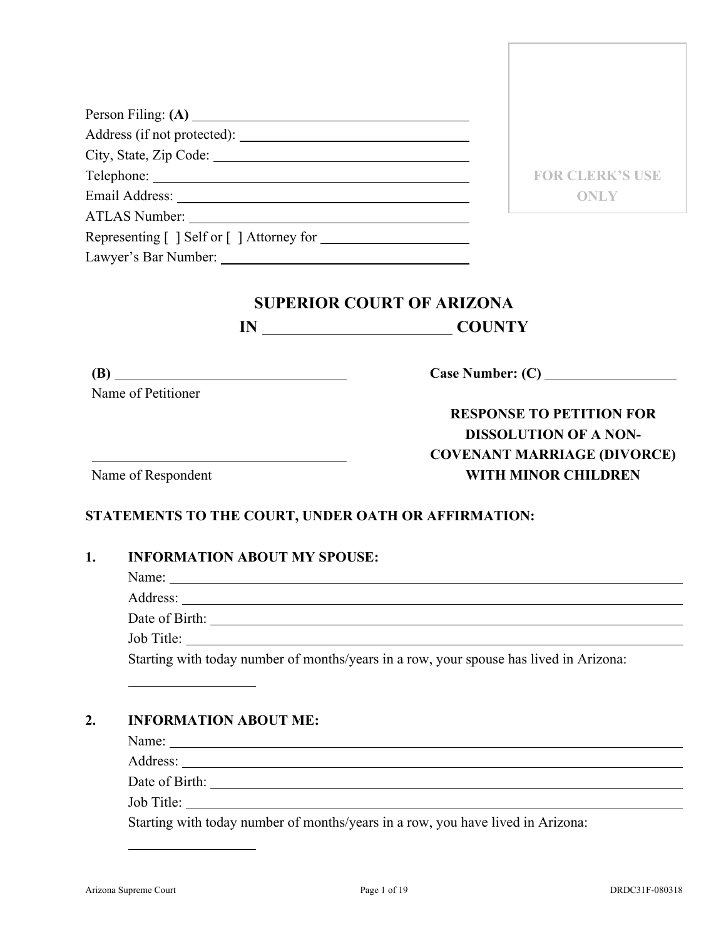|    |                                     | <b>FOR CLERK'S USE</b>                                                                 |
|----|-------------------------------------|----------------------------------------------------------------------------------------|
|    |                                     | <b>ONLY</b>                                                                            |
|    |                                     |                                                                                        |
|    |                                     |                                                                                        |
|    |                                     |                                                                                        |
|    |                                     |                                                                                        |
|    |                                     | <b>SUPERIOR COURT OF ARIZONA</b>                                                       |
|    |                                     | IN COUNTY                                                                              |
|    |                                     |                                                                                        |
|    | (B)                                 |                                                                                        |
|    | Name of Petitioner                  |                                                                                        |
|    |                                     | <b>RESPONSE TO PETITION FOR</b>                                                        |
|    |                                     | <b>DISSOLUTION OF A NON-</b>                                                           |
|    |                                     | <b>COVENANT MARRIAGE (DIVORCE)</b>                                                     |
|    | Name of Respondent                  | <b>WITH MINOR CHILDREN</b>                                                             |
|    |                                     |                                                                                        |
|    |                                     | STATEMENTS TO THE COURT, UNDER OATH OR AFFIRMATION:                                    |
|    |                                     |                                                                                        |
|    |                                     |                                                                                        |
|    | <b>INFORMATION ABOUT MY SPOUSE:</b> |                                                                                        |
|    |                                     |                                                                                        |
|    | Address: <u>New York: Address:</u>  |                                                                                        |
|    |                                     |                                                                                        |
| 1. | Job Title:                          | Starting with today number of months/years in a row, your spouse has lived in Arizona: |

#### **2. INFORMATION ABOUT ME:**

Name:

Address:

Date of Birth:

Job Title:

Starting with today number of months/years in a row, you have lived in Arizona: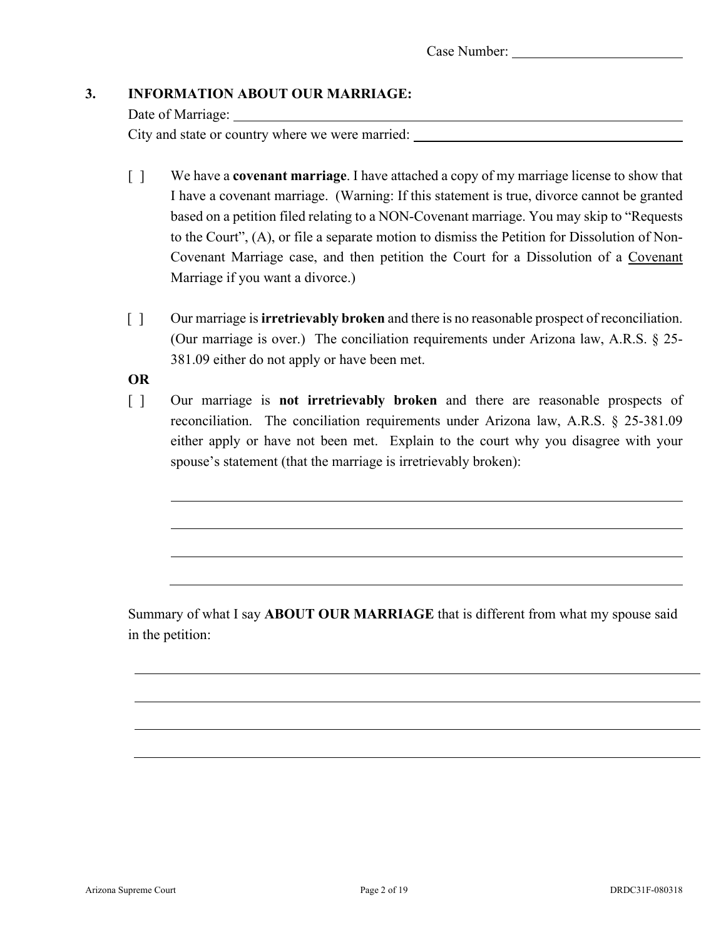## **3. INFORMATION ABOUT OUR MARRIAGE:**

Date of Marriage: City and state or country where we were married:

- [ ] We have a **covenant marriage**. I have attached a copy of my marriage license to show that I have a covenant marriage. (Warning: If this statement is true, divorce cannot be granted based on a petition filed relating to a NON-Covenant marriage. You may skip to "Requests to the Court", (A), or file a separate motion to dismiss the Petition for Dissolution of Non-Covenant Marriage case, and then petition the Court for a Dissolution of a Covenant Marriage if you want a divorce.)
- [ ] Our marriage is **irretrievably broken** and there is no reasonable prospect of reconciliation. (Our marriage is over.) The conciliation requirements under Arizona law, A.R.S. § 25- 381.09 either do not apply or have been met.

**OR**

[ ] Our marriage is **not irretrievably broken** and there are reasonable prospects of reconciliation. The conciliation requirements under Arizona law, A.R.S. § 25-381.09 either apply or have not been met. Explain to the court why you disagree with your spouse's statement (that the marriage is irretrievably broken):

Summary of what I say **ABOUT OUR MARRIAGE** that is different from what my spouse said in the petition: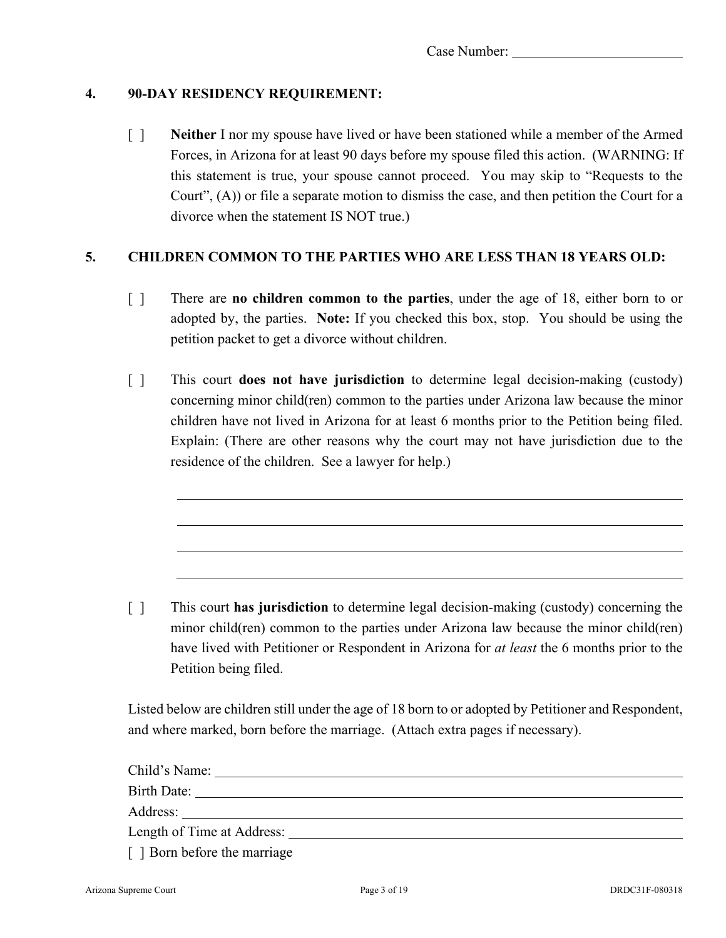#### **4. 90-DAY RESIDENCY REQUIREMENT:**

[ ] **Neither** I nor my spouse have lived or have been stationed while a member of the Armed Forces, in Arizona for at least 90 days before my spouse filed this action. (WARNING: If this statement is true, your spouse cannot proceed. You may skip to "Requests to the Court", (A)) or file a separate motion to dismiss the case, and then petition the Court for a divorce when the statement IS NOT true.)

#### **5. CHILDREN COMMON TO THE PARTIES WHO ARE LESS THAN 18 YEARS OLD:**

- [ ] There are **no children common to the parties**, under the age of 18, either born to or adopted by, the parties. **Note:** If you checked this box, stop. You should be using the petition packet to get a divorce without children.
- [ ] This court **does not have jurisdiction** to determine legal decision-making (custody) concerning minor child(ren) common to the parties under Arizona law because the minor children have not lived in Arizona for at least 6 months prior to the Petition being filed. Explain: (There are other reasons why the court may not have jurisdiction due to the residence of the children. See a lawyer for help.)

[ ] This court **has jurisdiction** to determine legal decision-making (custody) concerning the minor child(ren) common to the parties under Arizona law because the minor child(ren) have lived with Petitioner or Respondent in Arizona for *at least* the 6 months prior to the Petition being filed.

Listed below are children still under the age of 18 born to or adopted by Petitioner and Respondent, and where marked, born before the marriage. (Attach extra pages if necessary).

| Child's Name:                |  |
|------------------------------|--|
| Birth Date:                  |  |
|                              |  |
|                              |  |
| [ ] Born before the marriage |  |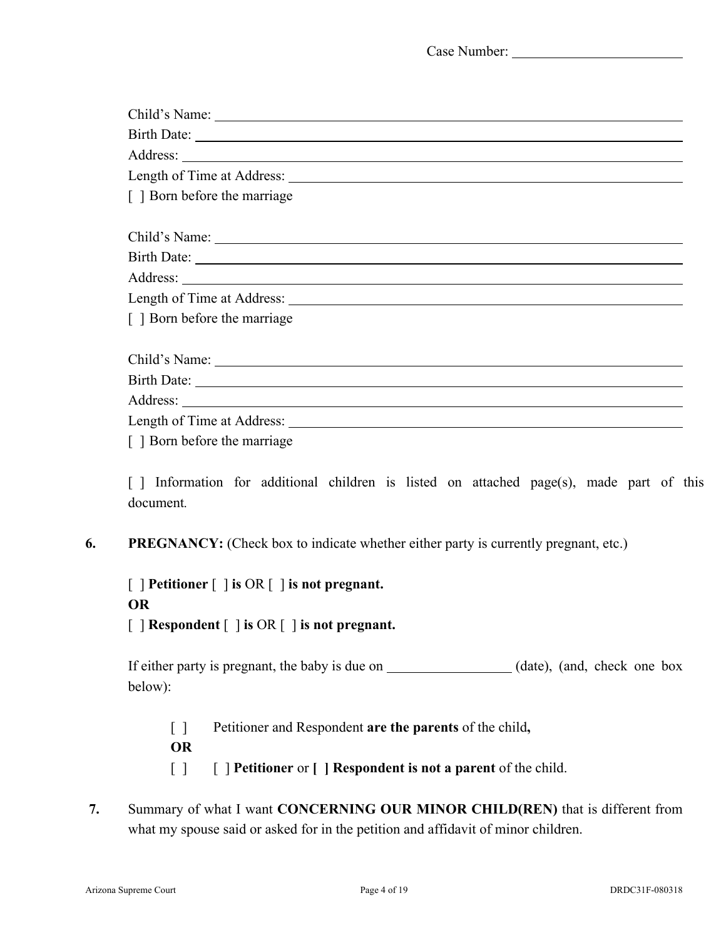| Child's Name:                                     |  |
|---------------------------------------------------|--|
|                                                   |  |
|                                                   |  |
|                                                   |  |
| [ ] Born before the marriage                      |  |
|                                                   |  |
|                                                   |  |
| Address: <u>New York: Address:</u> New York: 1997 |  |
|                                                   |  |
| [ ] Born before the marriage                      |  |
|                                                   |  |
|                                                   |  |
|                                                   |  |
|                                                   |  |
| $I1$ Dom before the merriage                      |  |

[ ] Born before the marriage

[] Information for additional children is listed on attached page(s), made part of this document*.*

**6. PREGNANCY:** (Check box to indicate whether either party is currently pregnant, etc.)

[ ] **Petitioner** [ ] **is** OR [ ] **is not pregnant. OR** [ ] **Respondent** [ ] **is** OR [ ] **is not pregnant.**

If either party is pregnant, the baby is due on (date), (and, check one box below):

- [ ] Petitioner and Respondent **are the parents** of the child**,**
- **OR**
- [ ] [ ] **Petitioner** or **[ ] Respondent is not a parent** of the child.
- **7.** Summary of what I want **CONCERNING OUR MINOR CHILD(REN)** that is different from what my spouse said or asked for in the petition and affidavit of minor children.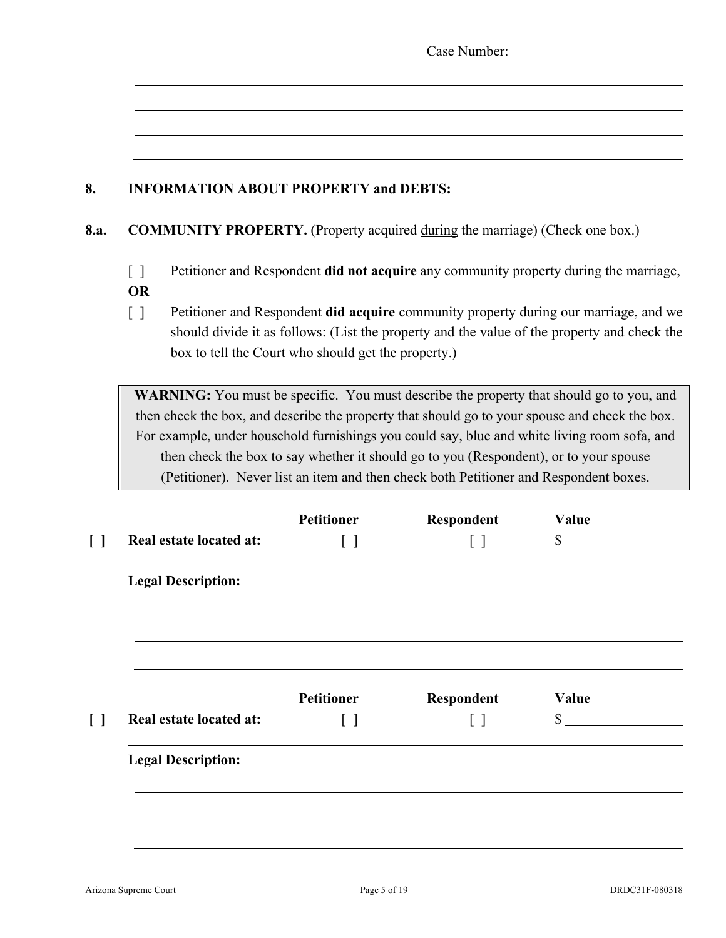| Case Number: |  |
|--------------|--|
|--------------|--|

## **8. INFORMATION ABOUT PROPERTY and DEBTS:**

#### **8.a. COMMUNITY PROPERTY.** (Property acquired during the marriage) (Check one box.)

- [ ] Petitioner and Respondent **did not acquire** any community property during the marriage, **OR**
- [ ] Petitioner and Respondent **did acquire** community property during our marriage, and we should divide it as follows: (List the property and the value of the property and check the box to tell the Court who should get the property.)

**WARNING:** You must be specific. You must describe the property that should go to you, and then check the box, and describe the property that should go to your spouse and check the box. For example, under household furnishings you could say, blue and white living room sofa, and then check the box to say whether it should go to you (Respondent), or to your spouse (Petitioner). Never list an item and then check both Petitioner and Respondent boxes.

|                           | <b>Petitioner</b> | Respondent                      | Value        |
|---------------------------|-------------------|---------------------------------|--------------|
| Real estate located at:   | $[\ ]$            |                                 | $\mathbb{S}$ |
| <b>Legal Description:</b> |                   |                                 |              |
|                           | <b>Petitioner</b> |                                 | Value        |
| Real estate located at:   | $\lceil$ 1        | Respondent<br>$\lceil$ $\rceil$ | $\mathbb{S}$ |
| <b>Legal Description:</b> |                   |                                 |              |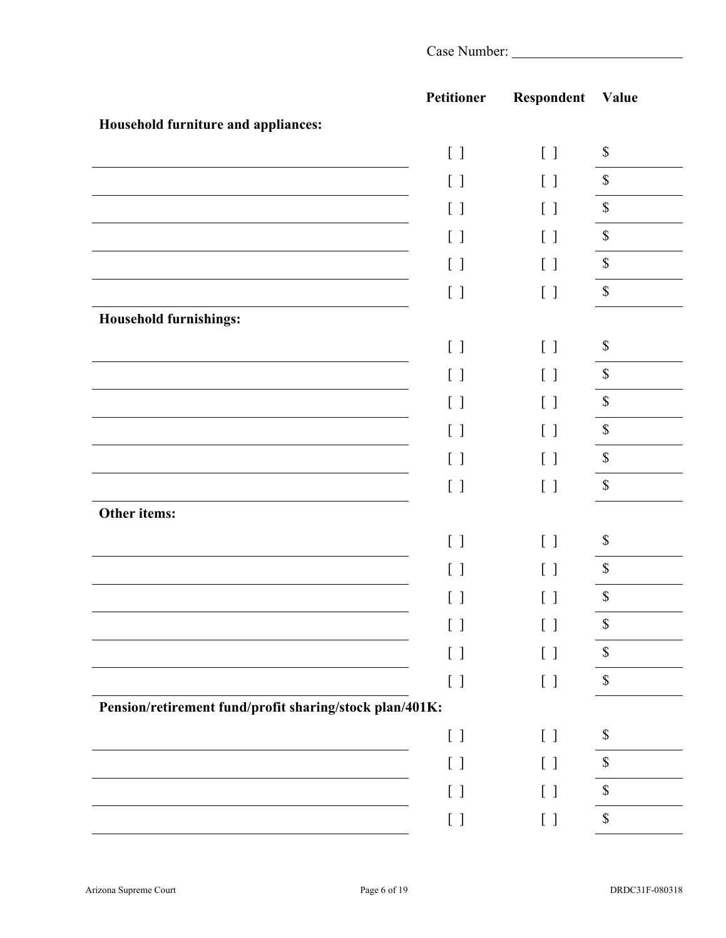|                                                         | <b>Petitioner</b> | Respondent                                    | Value                     |
|---------------------------------------------------------|-------------------|-----------------------------------------------|---------------------------|
| Household furniture and appliances:                     |                   |                                               |                           |
|                                                         | $[\ ]$            | $[\ ]$                                        | $\$$                      |
|                                                         | $[ \ ]$           | $[\ ]$                                        | $\mathbb{S}$              |
|                                                         | $[\ ]$            | $[\ ]$                                        | $\mathbb{S}$              |
|                                                         | $[\ ]$            | $[\ ]$                                        | $\mathbb{S}$              |
|                                                         | $[\ ]$            | $[\ ]$                                        | $\mathbb{S}$              |
|                                                         | $[ \ ]$           | $[\ ]$                                        | $\mathbb{S}$              |
| <b>Household furnishings:</b>                           |                   |                                               |                           |
|                                                         | $[ \ ]$           | $[\ ]$                                        | $\$$                      |
|                                                         | $[\ ]$            | $[ \ ]$                                       | $\mathbb S$               |
|                                                         | $[ \ ]$           | $[\ ]$                                        | $\mathbb S$               |
|                                                         | $[\ ]$            | $\left[ \begin{array}{c} \end{array} \right]$ | $\mathbb S$               |
|                                                         | $[ \ ]$           | $[\ ]$                                        | $\mathbb S$               |
|                                                         | $[ \ ]$           | $[ \ ]$                                       | $\mathbb S$               |
| Other items:                                            |                   |                                               |                           |
|                                                         | $[ \ ]$           | [ ]                                           | $\mathbb S$               |
|                                                         | $[\ ]$            | $[\ ]$                                        | $\boldsymbol{\mathsf{S}}$ |
|                                                         | $[\ ]$            | $[\ ]$                                        | $\mathbb S$               |
|                                                         |                   | ιı                                            | \$                        |
|                                                         | $[\ ]$            | $[\ ]$                                        | $\$$                      |
|                                                         | $[\ ]$            | $[\ ]$                                        | $\mathbb{S}$              |
| Pension/retirement fund/profit sharing/stock plan/401K: |                   |                                               |                           |
|                                                         | $[ \ ]$           | $[ \ \ ]$                                     | \$                        |
|                                                         | $[\ ]$            | $[\ ]$                                        | \$                        |
|                                                         | $[ \ ]$           | $[ \ ]$                                       | $\$$                      |
|                                                         |                   |                                               | \$                        |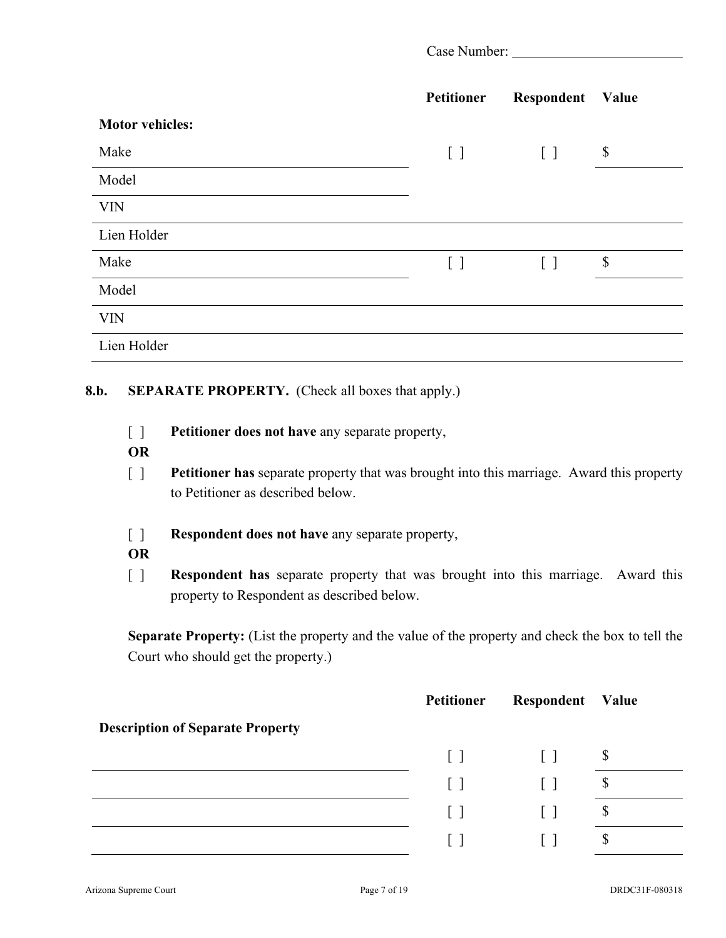| Case Number: |  |
|--------------|--|
|              |  |

|                        | Petitioner | Respondent | Value                     |
|------------------------|------------|------------|---------------------------|
| <b>Motor vehicles:</b> |            |            |                           |
| Make                   | $[\ ]$     | $[\ ]$     | $\boldsymbol{\mathsf{S}}$ |
| Model                  |            |            |                           |
| <b>VIN</b>             |            |            |                           |
| Lien Holder            |            |            |                           |
| Make                   | $[\ ]$     | $\lceil$ 1 | $\boldsymbol{\mathsf{S}}$ |
| Model                  |            |            |                           |
| <b>VIN</b>             |            |            |                           |
| Lien Holder            |            |            |                           |

#### **8.b. SEPARATE PROPERTY.** (Check all boxes that apply.)

- [ ] **Petitioner does not have** any separate property,
- **OR**
- [ ] **Petitioner has** separate property that was brought into this marriage. Award this property to Petitioner as described below.
- [ ] **Respondent does not have** any separate property,
- **OR**
- [ ] **Respondent has** separate property that was brought into this marriage. Award this property to Respondent as described below.

**Separate Property:** (List the property and the value of the property and check the box to tell the Court who should get the property.)

|                                         | <b>Petitioner</b> | Respondent | Value |
|-----------------------------------------|-------------------|------------|-------|
| <b>Description of Separate Property</b> |                   |            |       |
|                                         | $\Box$            | $\perp$    | \$    |
|                                         | $\lceil$ 1        |            | Φ     |
|                                         | $\mathbf{1}$      |            | Φ     |
|                                         |                   |            | \$    |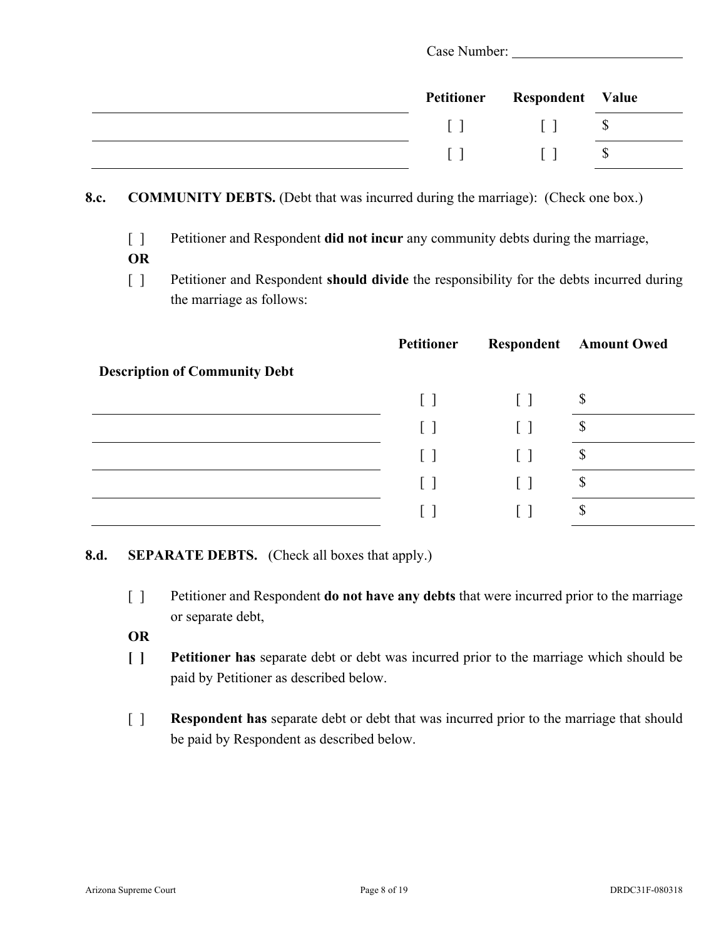|  | Petitioner Respondent Value |  |
|--|-----------------------------|--|
|  |                             |  |
|  |                             |  |

- **8.c. COMMUNITY DEBTS.** (Debt that was incurred during the marriage): (Check one box.)
	- [ ] Petitioner and Respondent **did not incur** any community debts during the marriage,
	- **OR**
	- [ ] Petitioner and Respondent **should divide** the responsibility for the debts incurred during the marriage as follows:

|                                      | <b>Petitioner</b> |         | <b>Respondent</b> Amount Owed |
|--------------------------------------|-------------------|---------|-------------------------------|
| <b>Description of Community Debt</b> |                   |         |                               |
|                                      | $\lceil$ 1        | $\perp$ | $\boldsymbol{\mathsf{S}}$     |
|                                      | $\lceil$ $\rceil$ |         | $\mathbb{S}$                  |
|                                      |                   |         | \$                            |
|                                      | $\Box$            |         | $\mathbb{S}$                  |
|                                      |                   |         | D                             |

## **8.d. SEPARATE DEBTS.** (Check all boxes that apply.)

- [ ] Petitioner and Respondent **do not have any debts** that were incurred prior to the marriage or separate debt,
- **OR**
- **[ ] Petitioner has** separate debt or debt was incurred prior to the marriage which should be paid by Petitioner as described below.
- [ ] **Respondent has** separate debt or debt that was incurred prior to the marriage that should be paid by Respondent as described below.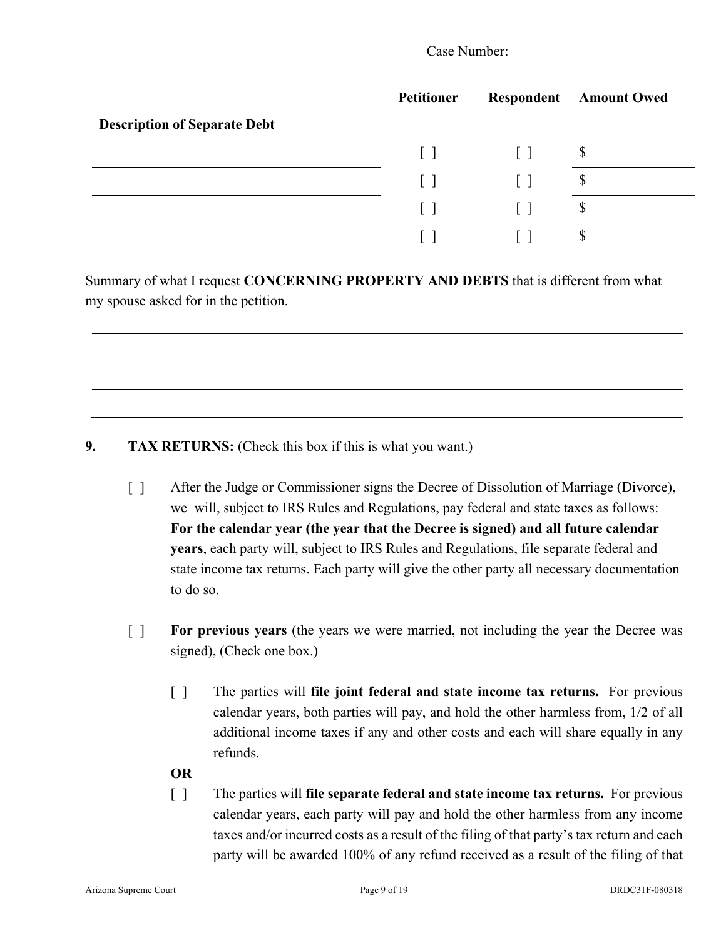|                                     | <b>Petitioner</b> |              | <b>Respondent</b> Amount Owed |
|-------------------------------------|-------------------|--------------|-------------------------------|
| <b>Description of Separate Debt</b> |                   |              |                               |
|                                     | $\Box$            | $\Box$       | $\boldsymbol{\mathsf{S}}$     |
|                                     | $\lceil$          | $\perp$      | $\boldsymbol{\mathsf{S}}$     |
|                                     | $\lceil \rceil$   | $\mathbf{1}$ | $\mathcal{S}$                 |
|                                     |                   |              | D                             |

Summary of what I request **CONCERNING PROPERTY AND DEBTS** that is different from what my spouse asked for in the petition.

## **9. TAX RETURNS:** (Check this box if this is what you want.)

- [ ] After the Judge or Commissioner signs the Decree of Dissolution of Marriage (Divorce), we will, subject to IRS Rules and Regulations, pay federal and state taxes as follows: **For the calendar year (the year that the Decree is signed) and all future calendar years**, each party will, subject to IRS Rules and Regulations, file separate federal and state income tax returns. Each party will give the other party all necessary documentation to do so.
- [ ] **For previous years** (the years we were married, not including the year the Decree was signed), (Check one box.)
	- [ ] The parties will **file joint federal and state income tax returns.** For previous calendar years, both parties will pay, and hold the other harmless from, 1/2 of all additional income taxes if any and other costs and each will share equally in any refunds.

#### **OR**

[ ] The parties will **file separate federal and state income tax returns.** For previous calendar years, each party will pay and hold the other harmless from any income taxes and/or incurred costs as a result of the filing of that party's tax return and each party will be awarded 100% of any refund received as a result of the filing of that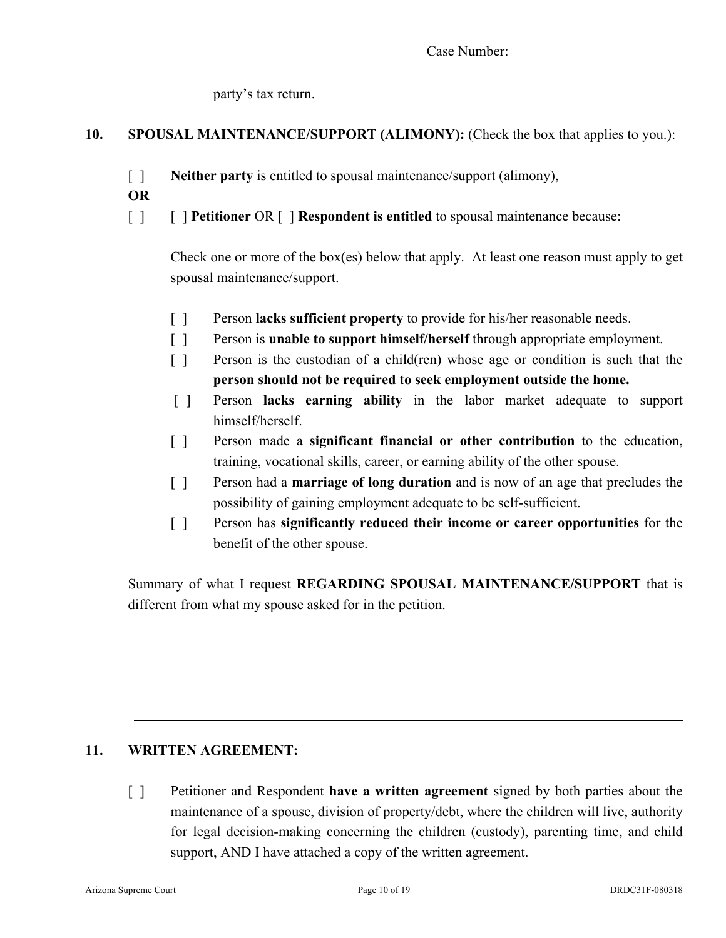party's tax return.

## **10. SPOUSAL MAINTENANCE/SUPPORT (ALIMONY):** (Check the box that applies to you.):

- [ ] **Neither party** is entitled to spousal maintenance/support (alimony),
- **OR**
- [ ] [ ] **Petitioner** OR [ ] **Respondent is entitled** to spousal maintenance because:

Check one or more of the box(es) below that apply. At least one reason must apply to get spousal maintenance/support.

- [ ] Person **lacks sufficient property** to provide for his/her reasonable needs.
- [ ] Person is **unable to support himself/herself** through appropriate employment.
- [ ] Person is the custodian of a child(ren) whose age or condition is such that the **person should not be required to seek employment outside the home.**
- [ ] Person **lacks earning ability** in the labor market adequate to support himself/herself.
- [ ] Person made a **significant financial or other contribution** to the education, training, vocational skills, career, or earning ability of the other spouse.
- [ ] Person had a **marriage of long duration** and is now of an age that precludes the possibility of gaining employment adequate to be self-sufficient.
- [ ] Person has **significantly reduced their income or career opportunities** for the benefit of the other spouse.

Summary of what I request **REGARDING SPOUSAL MAINTENANCE/SUPPORT** that is different from what my spouse asked for in the petition.

## **11. WRITTEN AGREEMENT:**

[ ] Petitioner and Respondent **have a written agreement** signed by both parties about the maintenance of a spouse, division of property/debt, where the children will live, authority for legal decision-making concerning the children (custody), parenting time, and child support, AND I have attached a copy of the written agreement.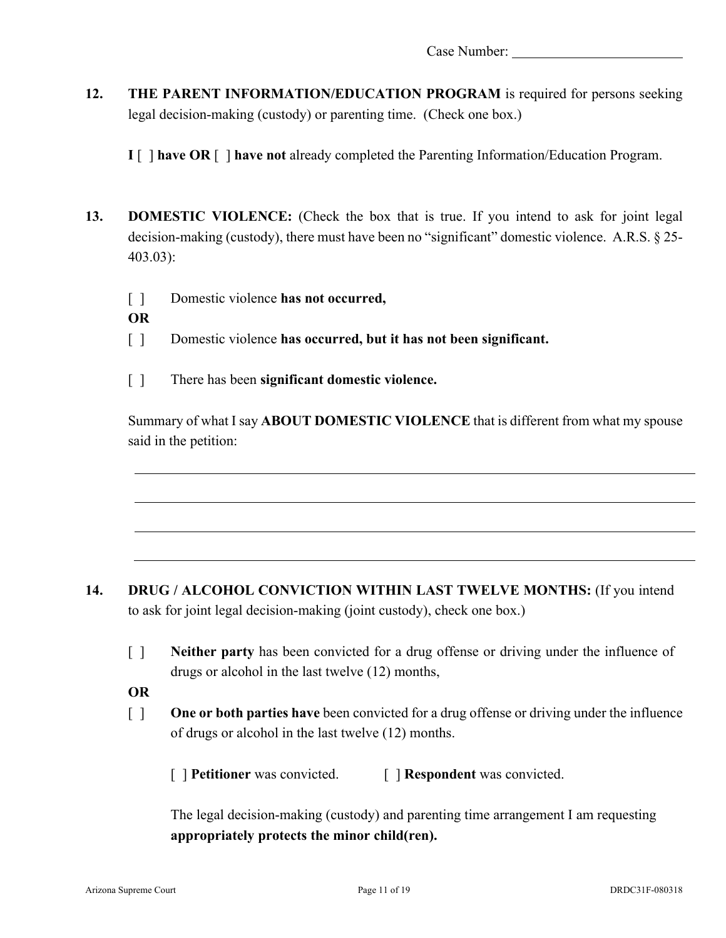**12. THE PARENT INFORMATION/EDUCATION PROGRAM** is required for persons seeking legal decision-making (custody) or parenting time. (Check one box.)

**I** [ ] **have OR** [ ] **have not** already completed the Parenting Information/Education Program.

- **13. DOMESTIC VIOLENCE:** (Check the box that is true. If you intend to ask for joint legal decision-making (custody), there must have been no "significant" domestic violence. A.R.S. § 25- 403.03):
	- [ ] Domestic violence **has not occurred,**
	- **OR**
	- [ ] Domestic violence **has occurred, but it has not been significant.**
	- [ ] There has been **significant domestic violence.**

Summary of what I say **ABOUT DOMESTIC VIOLENCE** that is different from what my spouse said in the petition:

- 14. **DRUG / ALCOHOL CONVICTION WITHIN LAST TWELVE MONTHS:** (If you intend to ask for joint legal decision-making (joint custody), check one box.)
	- [ ] **Neither party** has been convicted for a drug offense or driving under the influence of drugs or alcohol in the last twelve (12) months,
	- **OR**
	- [ ] **One or both parties have** been convicted for a drug offense or driving under the influence of drugs or alcohol in the last twelve (12) months.

[ **] Petitioner** was convicted. [ **] Respondent** was convicted.

The legal decision-making (custody) and parenting time arrangement I am requesting **appropriately protects the minor child(ren).**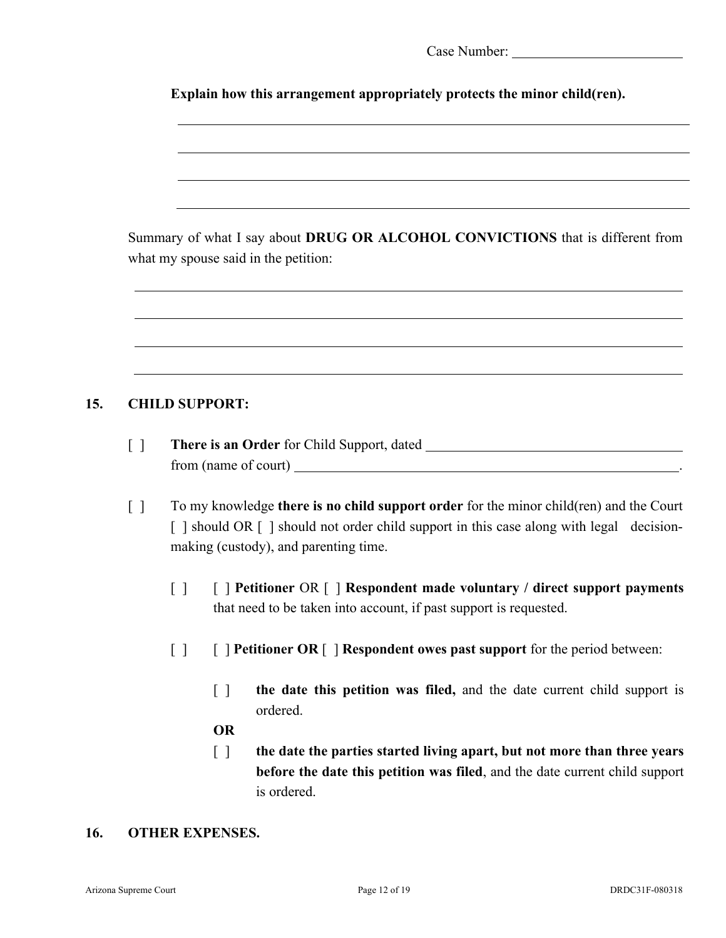|  | Case Number: |
|--|--------------|
|--|--------------|

**Explain how this arrangement appropriately protects the minor child(ren).**

Summary of what I say about **DRUG OR ALCOHOL CONVICTIONS** that is different from what my spouse said in the petition:

## **15. CHILD SUPPORT:**

- [ ] **There is an Order** for Child Support, dated from (name of court) .
- [ ] To my knowledge **there is no child support order** for the minor child(ren) and the Court [ ] should OR [ ] should not order child support in this case along with legal decisionmaking (custody), and parenting time.
	- [ ] [ ] **Petitioner** OR [ ] **Respondent made voluntary / direct support payments**  that need to be taken into account, if past support is requested.
	- [ ] [ ] **Petitioner OR** [ ] **Respondent owes past support** for the period between:
		- [ ] **the date this petition was filed,** and the date current child support is ordered.

### **OR**

[ ] **the date the parties started living apart, but not more than three years before the date this petition was filed**, and the date current child support is ordered.

#### **16. OTHER EXPENSES.**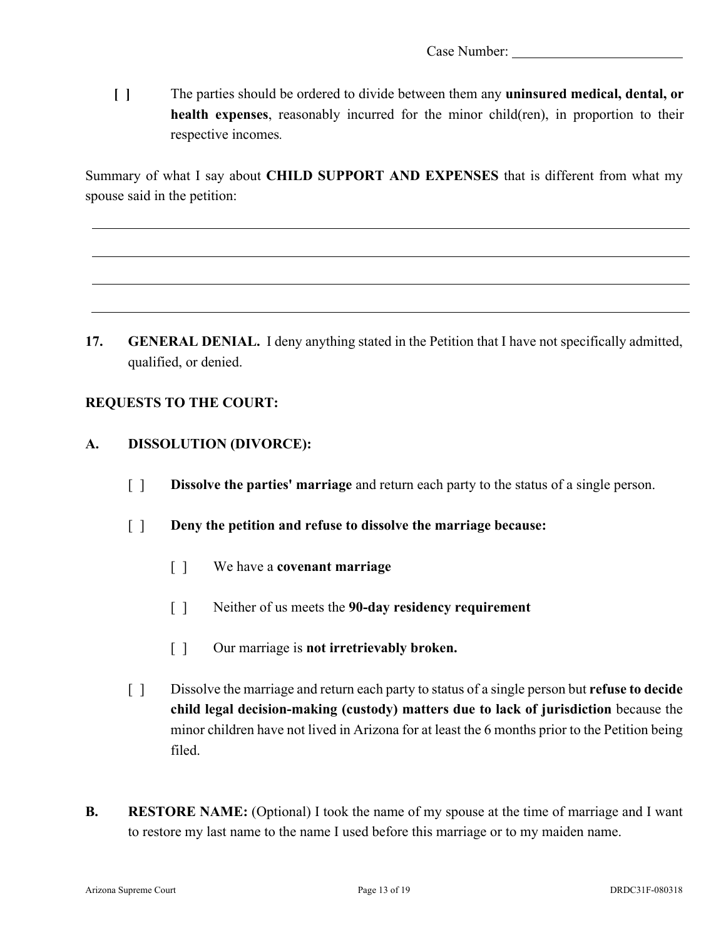**[ ]** The parties should be ordered to divide between them any **uninsured medical, dental, or health expenses**, reasonably incurred for the minor child(ren), in proportion to their respective incomes*.* 

Summary of what I say about **CHILD SUPPORT AND EXPENSES** that is different from what my spouse said in the petition:

**17. GENERAL DENIAL.** I deny anything stated in the Petition that I have not specifically admitted, qualified, or denied.

## **REQUESTS TO THE COURT:**

## **A. DISSOLUTION (DIVORCE):**

- [ ] **Dissolve the parties' marriage** and return each party to the status of a single person.
- [ ] **Deny the petition and refuse to dissolve the marriage because:** 
	- [ ] We have a **covenant marriage**
	- [ ] Neither of us meets the **90-day residency requirement**
	- [ ] Our marriage is **not irretrievably broken.**
- [ ] Dissolve the marriage and return each party to status of a single person but **refuse to decide child legal decision-making (custody) matters due to lack of jurisdiction** because the minor children have not lived in Arizona for at least the 6 months prior to the Petition being filed.
- **B. RESTORE NAME:** (Optional) I took the name of my spouse at the time of marriage and I want to restore my last name to the name I used before this marriage or to my maiden name.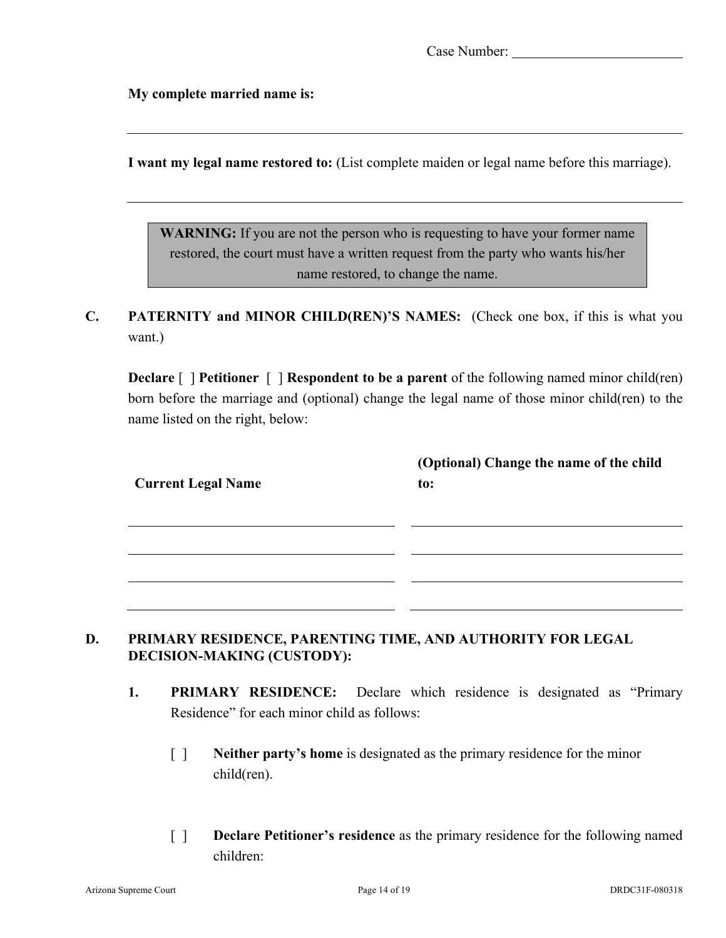**My complete married name is:**

**I want my legal name restored to:** (List complete maiden or legal name before this marriage).

**WARNING:** If you are not the person who is requesting to have your former name restored, the court must have a written request from the party who wants his/her name restored, to change the name.

**C. PATERNITY and MINOR CHILD(REN)'S NAMES:** (Check one box, if this is what you want.)

**Declare** [ ] **Petitioner** [ ] **Respondent to be a parent** of the following named minor child(ren) born before the marriage and (optional) change the legal name of those minor child(ren) to the name listed on the right, below:

|                           | (Optional) Change the name of the child |
|---------------------------|-----------------------------------------|
| <b>Current Legal Name</b> | to:                                     |
|                           |                                         |
|                           |                                         |
|                           |                                         |
|                           |                                         |
|                           |                                         |

## **D. PRIMARY RESIDENCE, PARENTING TIME, AND AUTHORITY FOR LEGAL DECISION-MAKING (CUSTODY):**

- **1. PRIMARY RESIDENCE:** Declare which residence is designated as "Primary Residence" for each minor child as follows:
	- [ ] **Neither party's home** is designated as the primary residence for the minor child(ren).
	- [ ] **Declare Petitioner's residence** as the primary residence for the following named children: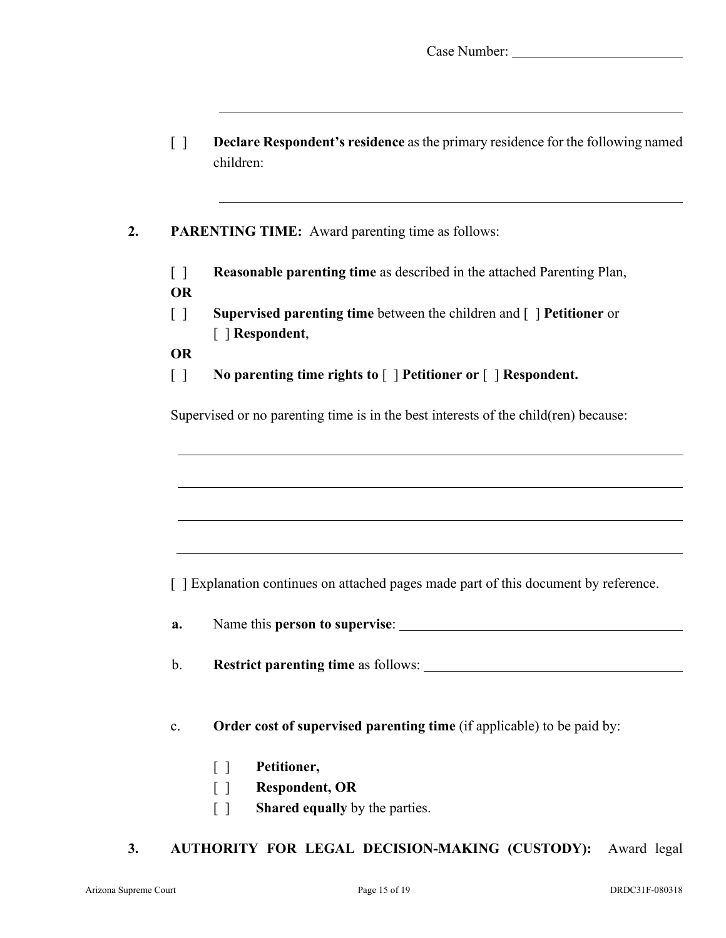|  | Case Number: |
|--|--------------|
|--|--------------|

[ ] **Declare Respondent's residence** as the primary residence for the following named children:

### **2. PARENTING TIME:** Award parenting time as follows:

- [ ] **Reasonable parenting time** as described in the attached Parenting Plan, **OR**
- [ ] **Supervised parenting time** between the children and [ ] **Petitioner** or [ ] **Respondent**,
- **OR**
- [ ] **No parenting time rights to** [ ] **Petitioner or** [ ] **Respondent.**

Supervised or no parenting time is in the best interests of the child(ren) because:

[ ] Explanation continues on attached pages made part of this document by reference.

**a.** Name this **person to supervise**:

b. **Restrict parenting time** as follows:

c. **Order cost of supervised parenting time** (if applicable) to be paid by:

- [ ] **Petitioner,**
- [ ] **Respondent, OR**
- [ ] **Shared equally** by the parties.

#### **3. AUTHORITY FOR LEGAL DECISION-MAKING (CUSTODY):** Award legal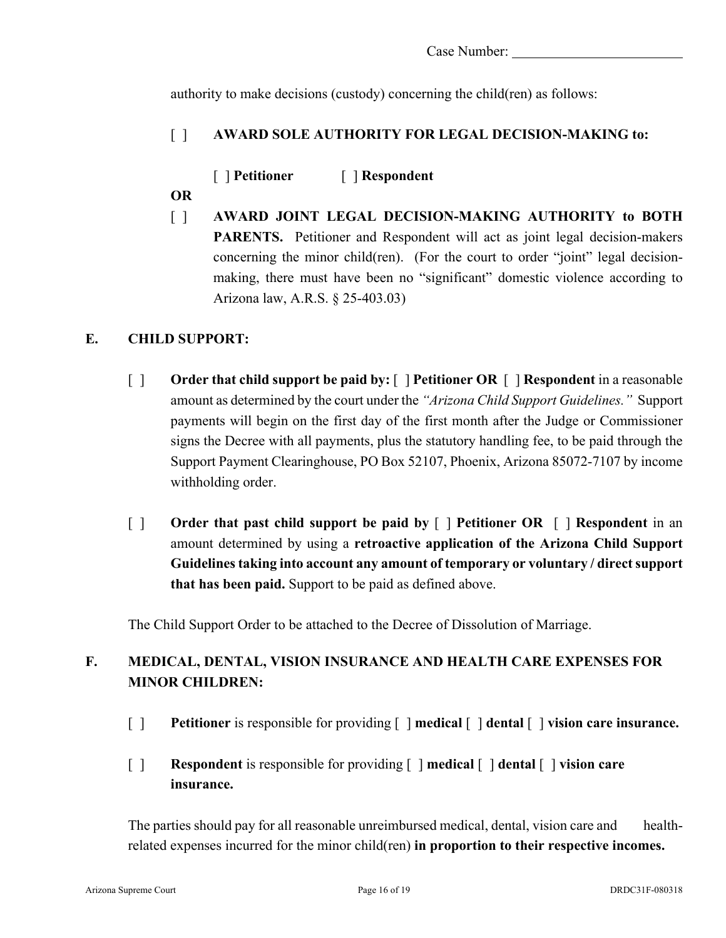authority to make decisions (custody) concerning the child(ren) as follows:

# [ ] **AWARD SOLE AUTHORITY FOR LEGAL DECISION-MAKING to:**

[ ] **Petitioner** [ ] **Respondent**

- **OR**
- [ ] **AWARD JOINT LEGAL DECISION-MAKING AUTHORITY to BOTH**  PARENTS. Petitioner and Respondent will act as joint legal decision-makers concerning the minor child(ren). (For the court to order "joint" legal decisionmaking, there must have been no "significant" domestic violence according to Arizona law, A.R.S. § 25-403.03)

# **E. CHILD SUPPORT:**

- [ ] **Order that child support be paid by:** [ ] **Petitioner OR** [ ] **Respondent** in a reasonable amount as determined by the court under the *"Arizona Child Support Guidelines."* Support payments will begin on the first day of the first month after the Judge or Commissioner signs the Decree with all payments, plus the statutory handling fee, to be paid through the Support Payment Clearinghouse, PO Box 52107, Phoenix, Arizona 85072-7107 by income withholding order.
- [ ] **Order that past child support be paid by** [ ] **Petitioner OR** [ ] **Respondent** in an amount determined by using a **retroactive application of the Arizona Child Support Guidelinestaking into account any amount of temporary or voluntary / direct support that has been paid.** Support to be paid as defined above.

The Child Support Order to be attached to the Decree of Dissolution of Marriage.

# **F. MEDICAL, DENTAL, VISION INSURANCE AND HEALTH CARE EXPENSES FOR MINOR CHILDREN:**

- [ ] **Petitioner** is responsible for providing [ ] **medical** [ ] **dental** [ ] **vision care insurance.**
- [ ] **Respondent** is responsible for providing [ ] **medical** [ ] **dental** [ ] **vision care insurance.**

The parties should pay for all reasonable unreimbursed medical, dental, vision care and healthrelated expenses incurred for the minor child(ren) **in proportion to their respective incomes.**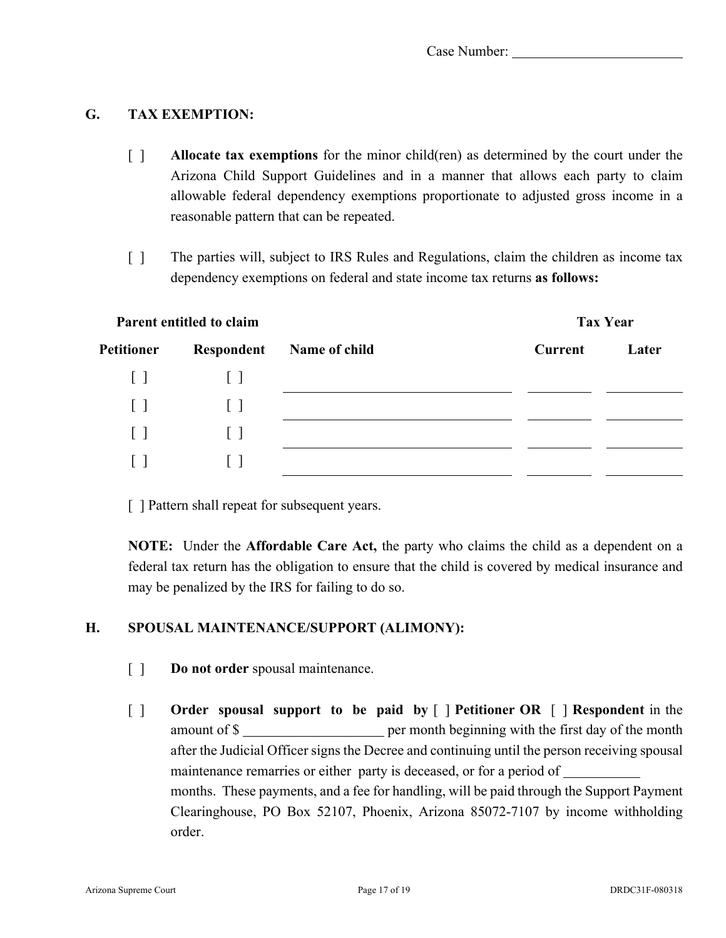## **G. TAX EXEMPTION:**

- [ ] **Allocate tax exemptions** for the minor child(ren) as determined by the court under the Arizona Child Support Guidelines and in a manner that allows each party to claim allowable federal dependency exemptions proportionate to adjusted gross income in a reasonable pattern that can be repeated.
- [ ] The parties will, subject to IRS Rules and Regulations, claim the children as income tax dependency exemptions on federal and state income tax returns **as follows:**

| Parent entitled to claim |                   |               |                | <b>Tax Year</b> |  |
|--------------------------|-------------------|---------------|----------------|-----------------|--|
| Petitioner               | Respondent        | Name of child | <b>Current</b> | Later           |  |
| $\lceil$                 | $\perp$           |               |                |                 |  |
| $\lceil$ $\rceil$        | $\lceil$ $\rceil$ |               |                |                 |  |
| $\lceil$ $\rceil$        | $\Box$            |               |                |                 |  |
| $\lceil$ 1               | $\mathbf{1}$      |               |                |                 |  |

[ ] Pattern shall repeat for subsequent years.

**NOTE:** Under the **Affordable Care Act,** the party who claims the child as a dependent on a federal tax return has the obligation to ensure that the child is covered by medical insurance and may be penalized by the IRS for failing to do so.

### **H. SPOUSAL MAINTENANCE/SUPPORT (ALIMONY):**

- [ ] **Do not order** spousal maintenance.
- [ ] **Order spousal support to be paid by** [ ] **Petitioner OR** [ ] **Respondent** in the amount of \$ after the Judicial Officer signs the Decree and continuing until the person receiving spousal maintenance remarries or either party is deceased, or for a period of months. These payments, and a fee for handling, will be paid through the Support Payment Clearinghouse, PO Box 52107, Phoenix, Arizona 85072-7107 by income withholding order.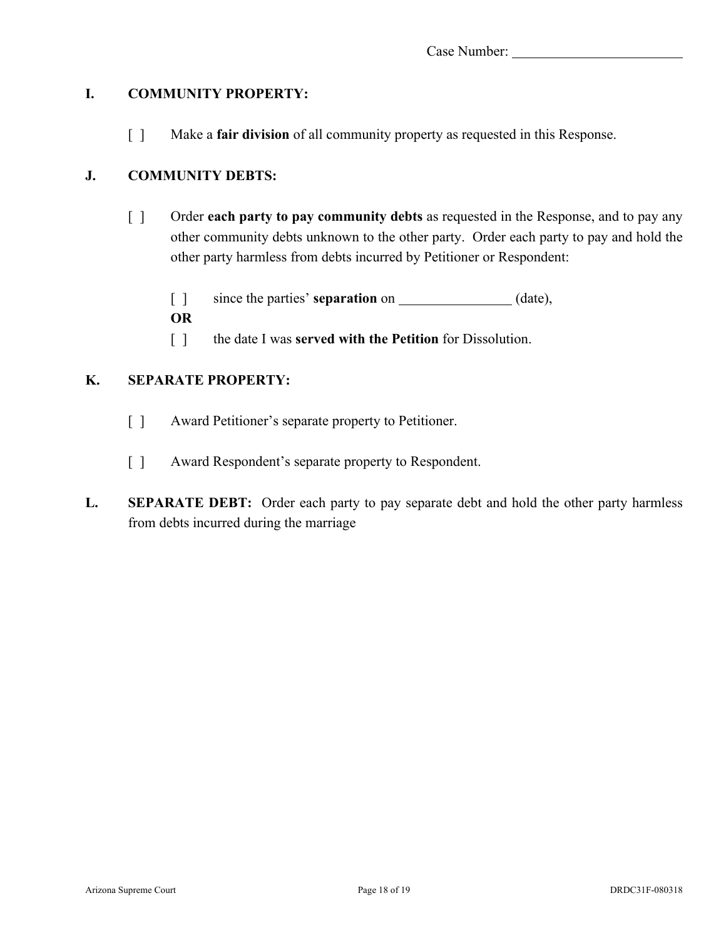## **I. COMMUNITY PROPERTY:**

[ ] Make a **fair division** of all community property as requested in this Response.

# **J. COMMUNITY DEBTS:**

[ ] Order **each party to pay community debts** as requested in the Response, and to pay any other community debts unknown to the other party. Order each party to pay and hold the other party harmless from debts incurred by Petitioner or Respondent:

[ ] since the parties' **separation** on  $\qquad \qquad$  (date), **OR**

[ ] the date I was **served with the Petition** for Dissolution.

## **K. SEPARATE PROPERTY:**

- [ ] Award Petitioner's separate property to Petitioner.
- [ ] Award Respondent's separate property to Respondent.
- **L. SEPARATE DEBT:** Order each party to pay separate debt and hold the other party harmless from debts incurred during the marriage